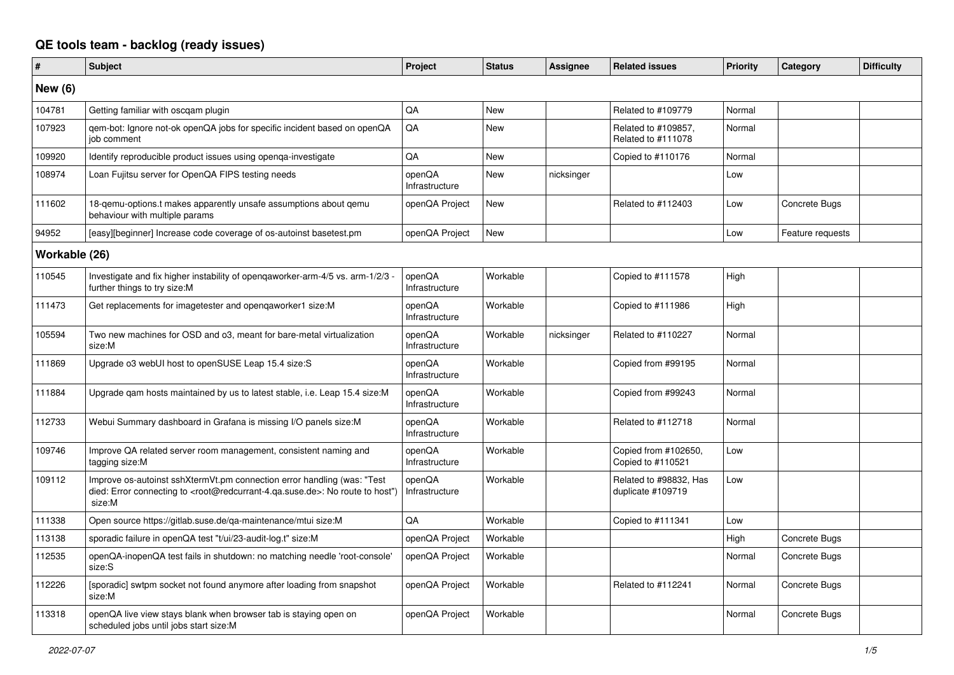## **QE tools team - backlog (ready issues)**

| $\#$           | <b>Subject</b>                                                                                                                                                                                    | Project                  | <b>Status</b> | Assignee   | <b>Related issues</b>                       | Priority | Category         | <b>Difficulty</b> |
|----------------|---------------------------------------------------------------------------------------------------------------------------------------------------------------------------------------------------|--------------------------|---------------|------------|---------------------------------------------|----------|------------------|-------------------|
| <b>New (6)</b> |                                                                                                                                                                                                   |                          |               |            |                                             |          |                  |                   |
| 104781         | Getting familiar with oscgam plugin                                                                                                                                                               | QA                       | New           |            | Related to #109779                          | Normal   |                  |                   |
| 107923         | gem-bot: Ignore not-ok openQA jobs for specific incident based on openQA<br>job comment                                                                                                           | QA                       | New           |            | Related to #109857,<br>Related to #111078   | Normal   |                  |                   |
| 109920         | Identify reproducible product issues using openga-investigate                                                                                                                                     | QA                       | New           |            | Copied to #110176                           | Normal   |                  |                   |
| 108974         | Loan Fujitsu server for OpenQA FIPS testing needs                                                                                                                                                 | openQA<br>Infrastructure | New           | nicksinger |                                             | Low      |                  |                   |
| 111602         | 18-gemu-options.t makes apparently unsafe assumptions about gemu<br>behaviour with multiple params                                                                                                | openQA Project           | New           |            | Related to #112403                          | Low      | Concrete Bugs    |                   |
| 94952          | [easy][beginner] Increase code coverage of os-autoinst basetest.pm                                                                                                                                | openQA Project           | New           |            |                                             | Low      | Feature requests |                   |
| Workable (26)  |                                                                                                                                                                                                   |                          |               |            |                                             |          |                  |                   |
| 110545         | Investigate and fix higher instability of opengaworker-arm-4/5 vs. arm-1/2/3<br>further things to try size:M                                                                                      | openQA<br>Infrastructure | Workable      |            | Copied to #111578                           | High     |                  |                   |
| 111473         | Get replacements for imagetester and opengaworker1 size:M                                                                                                                                         | openQA<br>Infrastructure | Workable      |            | Copied to #111986                           | High     |                  |                   |
| 105594         | Two new machines for OSD and o3, meant for bare-metal virtualization<br>size:M                                                                                                                    | openQA<br>Infrastructure | Workable      | nicksinger | Related to #110227                          | Normal   |                  |                   |
| 111869         | Upgrade o3 webUI host to openSUSE Leap 15.4 size:S                                                                                                                                                | openQA<br>Infrastructure | Workable      |            | Copied from #99195                          | Normal   |                  |                   |
| 111884         | Upgrade gam hosts maintained by us to latest stable, i.e. Leap 15.4 size:M                                                                                                                        | openQA<br>Infrastructure | Workable      |            | Copied from #99243                          | Normal   |                  |                   |
| 112733         | Webui Summary dashboard in Grafana is missing I/O panels size:M                                                                                                                                   | openQA<br>Infrastructure | Workable      |            | Related to #112718                          | Normal   |                  |                   |
| 109746         | Improve QA related server room management, consistent naming and<br>tagging size:M                                                                                                                | openQA<br>Infrastructure | Workable      |            | Copied from #102650,<br>Copied to #110521   | Low      |                  |                   |
| 109112         | Improve os-autoinst sshXtermVt.pm connection error handling (was: "Test<br>died: Error connecting to <root@redcurrant-4.ga.suse.de>: No route to host")<br/>size:M</root@redcurrant-4.ga.suse.de> | openQA<br>Infrastructure | Workable      |            | Related to #98832, Has<br>duplicate #109719 | Low      |                  |                   |
| 111338         | Open source https://gitlab.suse.de/qa-maintenance/mtui size:M                                                                                                                                     | QA                       | Workable      |            | Copied to #111341                           | Low      |                  |                   |
| 113138         | sporadic failure in openQA test "t/ui/23-audit-log.t" size:M                                                                                                                                      | openQA Project           | Workable      |            |                                             | High     | Concrete Bugs    |                   |
| 112535         | openQA-inopenQA test fails in shutdown: no matching needle 'root-console'<br>size:S                                                                                                               | openQA Project           | Workable      |            |                                             | Normal   | Concrete Bugs    |                   |
| 112226         | [sporadic] swtpm socket not found anymore after loading from snapshot<br>size:M                                                                                                                   | openQA Project           | Workable      |            | Related to #112241                          | Normal   | Concrete Bugs    |                   |
| 113318         | openQA live view stays blank when browser tab is staying open on<br>scheduled jobs until jobs start size:M                                                                                        | openQA Project           | Workable      |            |                                             | Normal   | Concrete Bugs    |                   |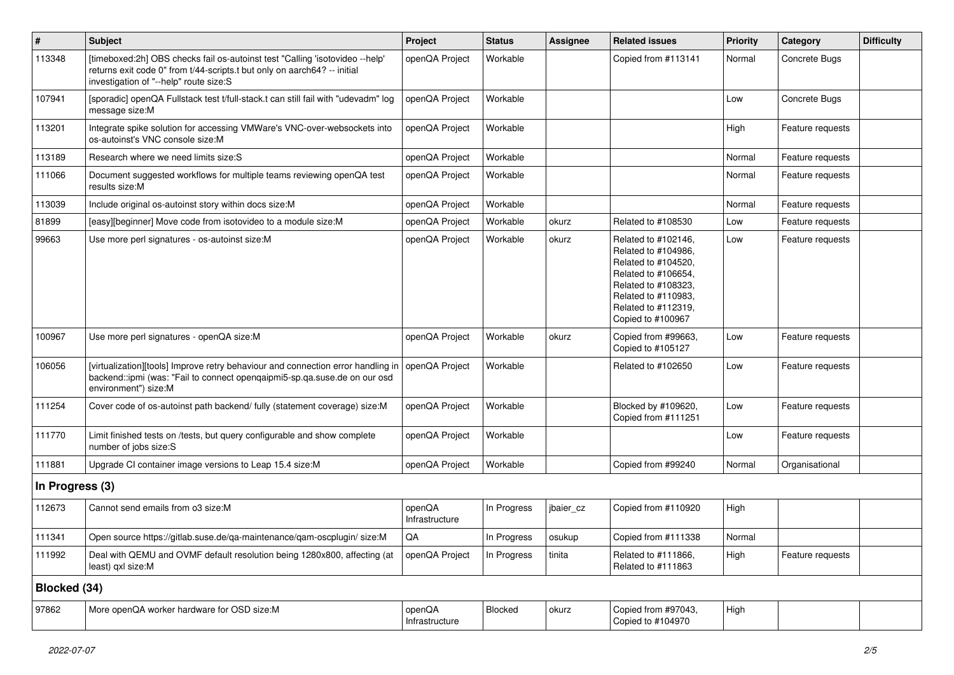| $\vert$ #       | Subject                                                                                                                                                                                            | Project                  | <b>Status</b> | <b>Assignee</b> | <b>Related issues</b>                                                                                                                                                              | <b>Priority</b> | Category         | <b>Difficulty</b> |
|-----------------|----------------------------------------------------------------------------------------------------------------------------------------------------------------------------------------------------|--------------------------|---------------|-----------------|------------------------------------------------------------------------------------------------------------------------------------------------------------------------------------|-----------------|------------------|-------------------|
| 113348          | [timeboxed:2h] OBS checks fail os-autoinst test "Calling 'isotovideo --help'<br>returns exit code 0" from t/44-scripts.t but only on aarch64? -- initial<br>investigation of "--help" route size:S | openQA Project           | Workable      |                 | Copied from #113141                                                                                                                                                                | Normal          | Concrete Bugs    |                   |
| 107941          | [sporadic] openQA Fullstack test t/full-stack.t can still fail with "udevadm" log<br>message size:M                                                                                                | openQA Project           | Workable      |                 |                                                                                                                                                                                    | Low             | Concrete Bugs    |                   |
| 113201          | Integrate spike solution for accessing VMWare's VNC-over-websockets into<br>os-autoinst's VNC console size:M                                                                                       | openQA Project           | Workable      |                 |                                                                                                                                                                                    | High            | Feature requests |                   |
| 113189          | Research where we need limits size:S                                                                                                                                                               | openQA Project           | Workable      |                 |                                                                                                                                                                                    | Normal          | Feature requests |                   |
| 111066          | Document suggested workflows for multiple teams reviewing openQA test<br>results size:M                                                                                                            | openQA Project           | Workable      |                 |                                                                                                                                                                                    | Normal          | Feature requests |                   |
| 113039          | Include original os-autoinst story within docs size:M                                                                                                                                              | openQA Project           | Workable      |                 |                                                                                                                                                                                    | Normal          | Feature requests |                   |
| 81899           | [easy][beginner] Move code from isotovideo to a module size:M                                                                                                                                      | openQA Project           | Workable      | okurz           | Related to #108530                                                                                                                                                                 | Low             | Feature requests |                   |
| 99663           | Use more perl signatures - os-autoinst size:M                                                                                                                                                      | openQA Project           | Workable      | okurz           | Related to #102146,<br>Related to #104986,<br>Related to #104520,<br>Related to #106654,<br>Related to #108323,<br>Related to #110983,<br>Related to #112319,<br>Copied to #100967 | Low             | Feature requests |                   |
| 100967          | Use more perl signatures - openQA size:M                                                                                                                                                           | openQA Project           | Workable      | okurz           | Copied from #99663,<br>Copied to #105127                                                                                                                                           | Low             | Feature requests |                   |
| 106056          | [virtualization][tools] Improve retry behaviour and connection error handling in<br>backend::ipmi (was: "Fail to connect openqaipmi5-sp.qa.suse.de on our osd<br>environment") size:M              | openQA Project           | Workable      |                 | Related to #102650                                                                                                                                                                 | Low             | Feature requests |                   |
| 111254          | Cover code of os-autoinst path backend/ fully (statement coverage) size:M                                                                                                                          | openQA Project           | Workable      |                 | Blocked by #109620,<br>Copied from #111251                                                                                                                                         | Low             | Feature requests |                   |
| 111770          | Limit finished tests on /tests, but query configurable and show complete<br>number of jobs size:S                                                                                                  | openQA Project           | Workable      |                 |                                                                                                                                                                                    | Low             | Feature requests |                   |
| 111881          | Upgrade CI container image versions to Leap 15.4 size:M                                                                                                                                            | openQA Project           | Workable      |                 | Copied from #99240                                                                                                                                                                 | Normal          | Organisational   |                   |
| In Progress (3) |                                                                                                                                                                                                    |                          |               |                 |                                                                                                                                                                                    |                 |                  |                   |
| 112673          | Cannot send emails from o3 size:M                                                                                                                                                                  | openQA<br>Infrastructure | In Progress   | ibaier cz       | Copied from #110920                                                                                                                                                                | High            |                  |                   |
| 111341          | Open source https://gitlab.suse.de/qa-maintenance/qam-oscplugin/ size:M                                                                                                                            | $\mathsf{QA}$            | In Progress   | osukup          | Copied from #111338                                                                                                                                                                | Normal          |                  |                   |
| 111992          | Deal with QEMU and OVMF default resolution being 1280x800, affecting (at<br>least) qxl size:M                                                                                                      | openQA Project           | In Progress   | tinita          | Related to #111866,<br>Related to #111863                                                                                                                                          | High            | Feature requests |                   |
| Blocked (34)    |                                                                                                                                                                                                    |                          |               |                 |                                                                                                                                                                                    |                 |                  |                   |
| 97862           | More openQA worker hardware for OSD size:M                                                                                                                                                         | openQA<br>Infrastructure | Blocked       | okurz           | Copied from #97043,<br>Copied to #104970                                                                                                                                           | High            |                  |                   |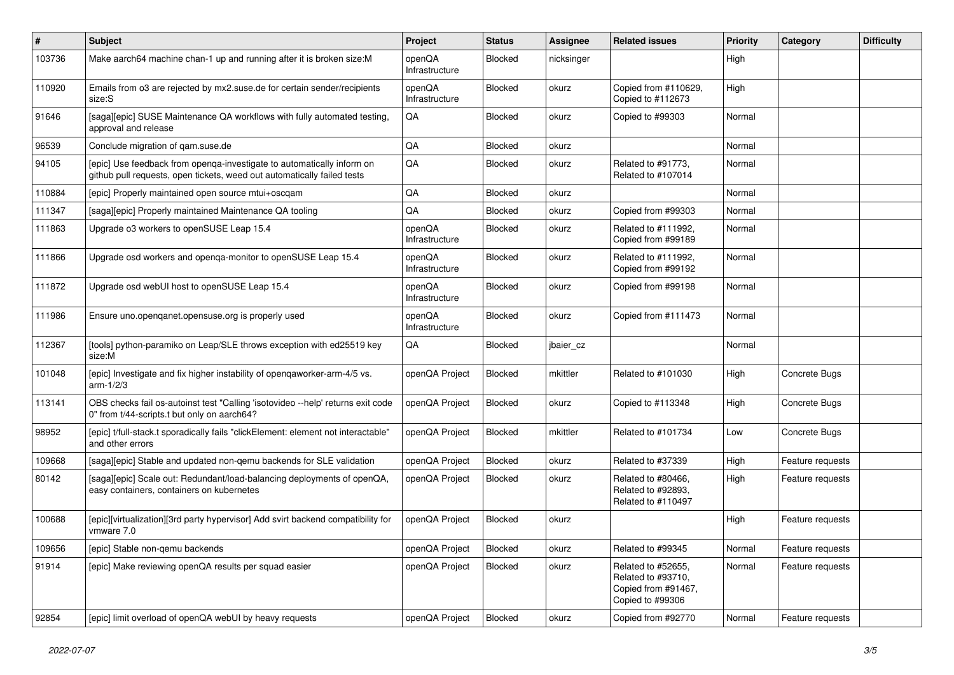| #      | <b>Subject</b>                                                                                                                                    | Project                  | <b>Status</b>  | <b>Assignee</b> | <b>Related issues</b>                                                               | <b>Priority</b> | Category         | <b>Difficulty</b> |
|--------|---------------------------------------------------------------------------------------------------------------------------------------------------|--------------------------|----------------|-----------------|-------------------------------------------------------------------------------------|-----------------|------------------|-------------------|
| 103736 | Make aarch64 machine chan-1 up and running after it is broken size:M                                                                              | openQA<br>Infrastructure | <b>Blocked</b> | nicksinger      |                                                                                     | High            |                  |                   |
| 110920 | Emails from o3 are rejected by mx2.suse.de for certain sender/recipients<br>size:S                                                                | openQA<br>Infrastructure | Blocked        | okurz           | Copied from #110629,<br>Copied to #112673                                           | High            |                  |                   |
| 91646  | [saga][epic] SUSE Maintenance QA workflows with fully automated testing,<br>approval and release                                                  | QA                       | Blocked        | okurz           | Copied to #99303                                                                    | Normal          |                  |                   |
| 96539  | Conclude migration of gam.suse.de                                                                                                                 | QA                       | <b>Blocked</b> | okurz           |                                                                                     | Normal          |                  |                   |
| 94105  | [epic] Use feedback from openga-investigate to automatically inform on<br>github pull requests, open tickets, weed out automatically failed tests | QA                       | <b>Blocked</b> | okurz           | Related to #91773,<br>Related to #107014                                            | Normal          |                  |                   |
| 110884 | [epic] Properly maintained open source mtui+oscqam                                                                                                | QA                       | <b>Blocked</b> | okurz           |                                                                                     | Normal          |                  |                   |
| 111347 | [saga][epic] Properly maintained Maintenance QA tooling                                                                                           | QA                       | <b>Blocked</b> | okurz           | Copied from #99303                                                                  | Normal          |                  |                   |
| 111863 | Upgrade o3 workers to openSUSE Leap 15.4                                                                                                          | openQA<br>Infrastructure | <b>Blocked</b> | okurz           | Related to #111992,<br>Copied from #99189                                           | Normal          |                  |                   |
| 111866 | Upgrade osd workers and openga-monitor to openSUSE Leap 15.4                                                                                      | openQA<br>Infrastructure | <b>Blocked</b> | okurz           | Related to #111992,<br>Copied from #99192                                           | Normal          |                  |                   |
| 111872 | Upgrade osd webUI host to openSUSE Leap 15.4                                                                                                      | openQA<br>Infrastructure | Blocked        | okurz           | Copied from #99198                                                                  | Normal          |                  |                   |
| 111986 | Ensure uno.openqanet.opensuse.org is properly used                                                                                                | openQA<br>Infrastructure | <b>Blocked</b> | okurz           | Copied from #111473                                                                 | Normal          |                  |                   |
| 112367 | [tools] python-paramiko on Leap/SLE throws exception with ed25519 key<br>size:M                                                                   | QA                       | <b>Blocked</b> | jbaier_cz       |                                                                                     | Normal          |                  |                   |
| 101048 | [epic] Investigate and fix higher instability of openqaworker-arm-4/5 vs.<br>$arm-1/2/3$                                                          | openQA Project           | Blocked        | mkittler        | Related to #101030                                                                  | High            | Concrete Bugs    |                   |
| 113141 | OBS checks fail os-autoinst test "Calling 'isotovideo --help' returns exit code<br>0" from t/44-scripts.t but only on aarch64?                    | openQA Project           | Blocked        | okurz           | Copied to #113348                                                                   | High            | Concrete Bugs    |                   |
| 98952  | [epic] t/full-stack.t sporadically fails "clickElement: element not interactable"<br>and other errors                                             | openQA Project           | <b>Blocked</b> | mkittler        | Related to #101734                                                                  | Low             | Concrete Bugs    |                   |
| 109668 | [saga][epic] Stable and updated non-gemu backends for SLE validation                                                                              | openQA Project           | Blocked        | okurz           | Related to #37339                                                                   | High            | Feature requests |                   |
| 80142  | [saga][epic] Scale out: Redundant/load-balancing deployments of openQA,<br>easy containers, containers on kubernetes                              | openQA Project           | <b>Blocked</b> | okurz           | Related to #80466,<br>Related to #92893,<br>Related to #110497                      | High            | Feature requests |                   |
| 100688 | [epic][virtualization][3rd party hypervisor] Add svirt backend compatibility for<br>vmware 7.0                                                    | openQA Project           | Blocked        | okurz           |                                                                                     | High            | Feature requests |                   |
| 109656 | [epic] Stable non-gemu backends                                                                                                                   | openQA Project           | Blocked        | okurz           | Related to #99345                                                                   | Normal          | Feature requests |                   |
| 91914  | [epic] Make reviewing openQA results per squad easier                                                                                             | openQA Project           | Blocked        | okurz           | Related to #52655,<br>Related to #93710,<br>Copied from #91467,<br>Copied to #99306 | Normal          | Feature requests |                   |
| 92854  | [epic] limit overload of openQA webUI by heavy requests                                                                                           | openQA Project           | Blocked        | okurz           | Copied from #92770                                                                  | Normal          | Feature requests |                   |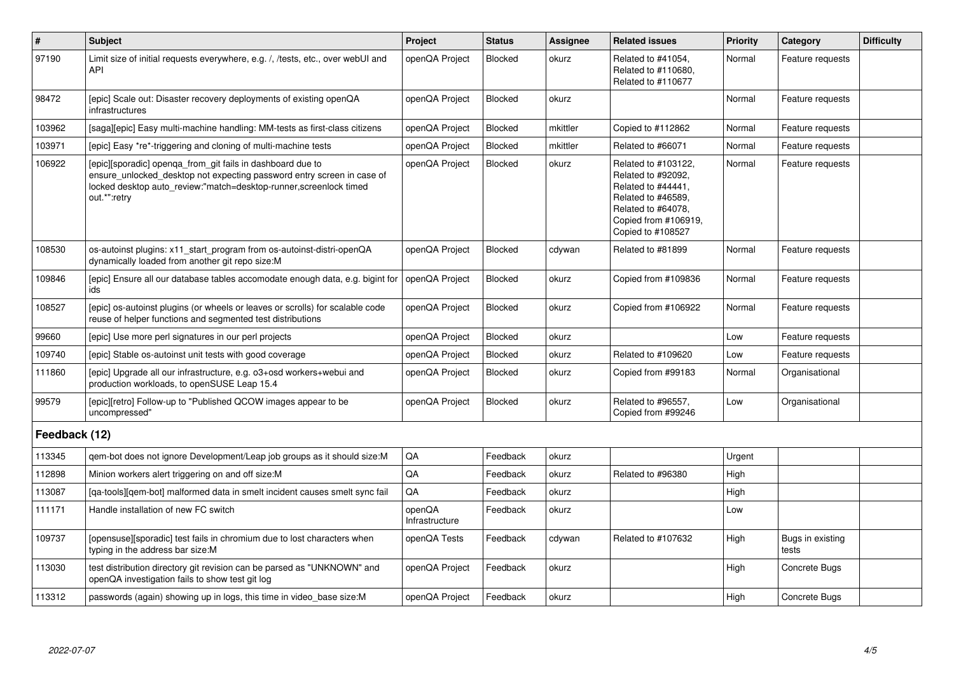| #             | <b>Subject</b>                                                                                                                                                                                                             | <b>Project</b>           | <b>Status</b>  | <b>Assignee</b> | <b>Related issues</b>                                                                                                                                    | Priority | Category                  | <b>Difficulty</b> |
|---------------|----------------------------------------------------------------------------------------------------------------------------------------------------------------------------------------------------------------------------|--------------------------|----------------|-----------------|----------------------------------------------------------------------------------------------------------------------------------------------------------|----------|---------------------------|-------------------|
| 97190         | Limit size of initial requests everywhere, e.g. /, /tests, etc., over webUI and<br>API                                                                                                                                     | openQA Project           | <b>Blocked</b> | okurz           | Related to #41054,<br>Related to #110680,<br>Related to #110677                                                                                          | Normal   | Feature requests          |                   |
| 98472         | [epic] Scale out: Disaster recovery deployments of existing openQA<br>infrastructures                                                                                                                                      | openQA Project           | <b>Blocked</b> | okurz           |                                                                                                                                                          | Normal   | Feature requests          |                   |
| 103962        | [saga][epic] Easy multi-machine handling: MM-tests as first-class citizens                                                                                                                                                 | openQA Project           | <b>Blocked</b> | mkittler        | Copied to #112862                                                                                                                                        | Normal   | Feature requests          |                   |
| 103971        | [epic] Easy *re*-triggering and cloning of multi-machine tests                                                                                                                                                             | openQA Project           | <b>Blocked</b> | mkittler        | Related to #66071                                                                                                                                        | Normal   | Feature requests          |                   |
| 106922        | [epic][sporadic] openga_from_git fails in dashboard due to<br>ensure_unlocked_desktop not expecting password entry screen in case of<br>locked desktop auto review:"match=desktop-runner, screenlock timed<br>out.*":retry | openQA Project           | Blocked        | okurz           | Related to #103122,<br>Related to #92092,<br>Related to #44441,<br>Related to #46589.<br>Related to #64078,<br>Copied from #106919,<br>Copied to #108527 | Normal   | Feature requests          |                   |
| 108530        | os-autoinst plugins: x11 start program from os-autoinst-distri-openQA<br>dynamically loaded from another git repo size:M                                                                                                   | openQA Project           | Blocked        | cdywan          | Related to #81899                                                                                                                                        | Normal   | Feature requests          |                   |
| 109846        | [epic] Ensure all our database tables accomodate enough data, e.g. bigint for<br>ids                                                                                                                                       | openQA Project           | Blocked        | okurz           | Copied from #109836                                                                                                                                      | Normal   | Feature requests          |                   |
| 108527        | [epic] os-autoinst plugins (or wheels or leaves or scrolls) for scalable code<br>reuse of helper functions and segmented test distributions                                                                                | openQA Project           | Blocked        | okurz           | Copied from #106922                                                                                                                                      | Normal   | Feature requests          |                   |
| 99660         | [epic] Use more perl signatures in our perl projects                                                                                                                                                                       | openQA Project           | <b>Blocked</b> | okurz           |                                                                                                                                                          | Low      | Feature requests          |                   |
| 109740        | [epic] Stable os-autoinst unit tests with good coverage                                                                                                                                                                    | openQA Project           | Blocked        | okurz           | Related to #109620                                                                                                                                       | Low      | Feature requests          |                   |
| 111860        | [epic] Upgrade all our infrastructure, e.g. o3+osd workers+webui and<br>production workloads, to openSUSE Leap 15.4                                                                                                        | openQA Project           | Blocked        | okurz           | Copied from #99183                                                                                                                                       | Normal   | Organisational            |                   |
| 99579         | [epic][retro] Follow-up to "Published QCOW images appear to be<br>uncompressed"                                                                                                                                            | openQA Project           | Blocked        | okurz           | Related to #96557,<br>Copied from #99246                                                                                                                 | Low      | Organisational            |                   |
| Feedback (12) |                                                                                                                                                                                                                            |                          |                |                 |                                                                                                                                                          |          |                           |                   |
| 113345        | gem-bot does not ignore Development/Leap job groups as it should size:M                                                                                                                                                    | QA                       | Feedback       | okurz           |                                                                                                                                                          | Urgent   |                           |                   |
| 112898        | Minion workers alert triggering on and off size:M                                                                                                                                                                          | QA                       | Feedback       | okurz           | Related to #96380                                                                                                                                        | High     |                           |                   |
| 113087        | [ga-tools][gem-bot] malformed data in smelt incident causes smelt sync fail                                                                                                                                                | QA                       | Feedback       | okurz           |                                                                                                                                                          | High     |                           |                   |
| 111171        | Handle installation of new FC switch                                                                                                                                                                                       | openQA<br>Infrastructure | Feedback       | okurz           |                                                                                                                                                          | Low      |                           |                   |
| 109737        | [opensuse][sporadic] test fails in chromium due to lost characters when<br>typing in the address bar size:M                                                                                                                | openQA Tests             | Feedback       | cdywan          | Related to #107632                                                                                                                                       | High     | Bugs in existing<br>tests |                   |
| 113030        | test distribution directory git revision can be parsed as "UNKNOWN" and<br>openQA investigation fails to show test git log                                                                                                 | openQA Project           | Feedback       | okurz           |                                                                                                                                                          | High     | Concrete Bugs             |                   |
| 113312        | passwords (again) showing up in logs, this time in video base size: M                                                                                                                                                      | openQA Project           | Feedback       | okurz           |                                                                                                                                                          | High     | Concrete Bugs             |                   |